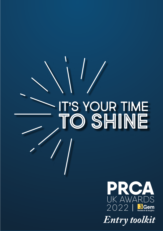# IT'S YOUR TIME **TO SHINE**



*Entry toolkit*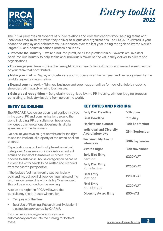



The PRCA promotes all aspects of public relations and communications work, helping teams and individuals maximise the value they deliver to clients and organisations. The PRCA UK Awards is your chance to display and celebrate your successes over the last year, being recognised by the world's largest PR and communications professional body.

**Promote the industry** – We're a not-for-profit, so all the profits from our awards are invested back into our industry to help teams and individuals maximise the value they deliver to clients and organisations.

 **Encourage your team** – Shine the limelight on your team's fantastic work and reward every member of your team that contributed.

**Make your mark** – Display and celebrate your success over the last year and be recognised by the world's largest PR association.

**Expand your network** – Win new business and open opportunities for new clientele by rubbing shoulders with award-winning businesses.

**Gain global recognition** – Be globally recognised by the PR industry, with our judging process consisting of industry-leaders from across the world.

The PRCA UK Awards are open to all parties involved in the use of PR and communications around the world including, PR consultancies, freelancers, in-house communications departments, digital agencies, and media owners.

Do ensure you have sought permission for the right to use the intellectual property of the brand or client entered.

Organisations can submit multiple entries into all categories. Companies or individuals can submit entries on behalf of themselves or others. If you choose to enter an in-house category on behalf of a client, the entry needs to be written and branded from the client's perspective.

If the judges feel that an entry was particularly outstanding, but point difference hasn't allowed the win, they can award the entry Highly Commended. This will be announced on the evening.

Also on the night the PRCA will award the consultancy and in-house winners for:

- Campaign of the Year
- Best Use of Planning, Research and Evaluation in a campaign *[sponsored by CARMA.](https://carma.com/)*

If you enter a campaign category you are automatically entered into the running for both of these.

#### ENTRY GUIDELINES KEY DATES AND PRICING

| <b>Early Bird Deadline</b>                                 | 16th June             |
|------------------------------------------------------------|-----------------------|
| <b>Final Deadline</b>                                      | 11th July             |
| <b>Finalists Announced</b>                                 | 15th September        |
| <b>Individual and Diversity</b><br><b>Award Interviews</b> | 29th September        |
| <b>Sustainability Award</b><br><b>Interviews</b>           | <b>30th September</b> |
| <b>Awards Night</b>                                        | <b>15th November</b>  |
| <b>Early Bird Entry</b><br>Member                          | £220+VAT              |
| <b>Early Bird Entry</b><br>Non Member                      | £260+VAT              |
| <b>Final Entry</b><br>Member                               | £280+VAT              |
| <b>Final Entry</b><br>Non Member                           | £320+VAT              |
| <b>Diversity Award Entry</b>                               | £50+VAT               |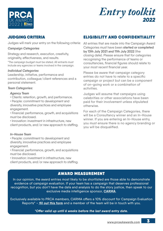



#### JUDGING CRITERIA

Judges will mark your entry on the following criteria:

#### *Campaign Categories*

Strategy and research, execution, creativity, originality, effectiveness, and results.

\*The campaign budget must be stated. All entrants must include any agencies or teams involved in the campaign.

#### *Individual Categories*

Leadership, initiative, performance and contribution, colleague/client references and a personal statement.

#### *Team Categories:*

#### *Agency Team*

- Clients: retention, growth, and performance.
- People: commitment to development and diversity, innovative practices and employee engagement.
- Financial: performance, growth, and acquisitions must be disclosed.

• Innovation: investment in infrastructure, new client products, and/or new approach to staffing.

#### *In-House Team*

• People: commitment to development and diversity, innovative practices and employee engagement.

• Financial: performance, growth, and acquisitions must be disclosed.

• Innovation: investment in infrastructure, new client products, and/or new approach to staffing.

#### ELIGIBILITY AND CONFIDENTIALITY

All entries that are made into the Campaign Award Categories must have been **started or completed by 13th July 2021 and 11th July 2022** (the closing date). Please ensure that for categories recognising the performance of teams or consultancies, financial figures should relate to your most recent financial year.

Please be aware that campaign category entries do not have to relate to a specific campaign or project but can be a component of on-going work or a combination of activities.

Judges will assume that campaigns using celebrities or other associations have been paid for their involvement unless stipulated otherwise.

For each of the Campaign Categories, there will be a Consultancy winner and an In-House winner. If you are entering an In-House entry, you must ensure there is no agency branding or you will be disqualified.

#### AWARD MEASUREMENT

In our opinion, the award entries most likely to be shortlisted are those able to demonstrate evidence of campaign evaluation. If your team has a campaign that deserves professional recognition, but you don't have the data and analysis to do the story justice, then speak to our exclusive media intelligence sponsor, **[CARMA](http://carma.com)**.

Exclusively available to PRCA members, CARMA offers a 10% discount for Campaign Evaluation Reports\* – **[fill out this form](https://share.hsforms.com/1VhL_8DmCRaeGVcjqFhbadg4d2kp)** and a member of the team will be in touch with you.

*\*Offer valid up until 6 weeks before the last award entry date.*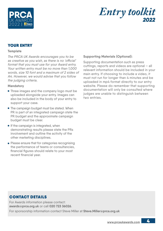

# $E$ *ntry toolkit*

#### YOUR ENTRY

#### **Template**

The PRCA UK Awards encourages you to be as creative as you wish, as there is no 'official' format that you must use for your Award entry. Your written entry must be no more than 1,000 words, size 10 font and a maximum of 2 sides of A4. However, we would advise that you follow the *judging criteria*.

#### **Mandatory**

- Three images and the company logo must be uploaded alongside your entry. Images can also be included in the body of your entry to support your case.
- The campaign budget must be stated. When PR is part of an integrated campaign state the PR budget and the approximate campaign budget must be clear.
- $\bullet$  If the campaign is integrated, when demonstrating results please state the PRs involvement and outline the activity of the other marketing disciplines.
- Please ensure that for categories recognising the performance of teams or consultancies, financial figures should relate to your most recent financial year.

#### **Supporting Materials (Optional):**

Supporting documentation such as press cuttings, reports and videos are optional – all relevant information should be included in your main entry. If choosing to include a video, it must not run for longer than 4 minutes and be uploaded in mp4 format directly to our entry website. Please do remember that supporting documentation will only be consulted where judges are unable to distinguish between two entries.

#### CONTACT DETAILS

For Awards information please contact: **awards@prca.org.uk** or call **020 723 36026**. For sponsorship information contact Steve Miller at **[Steve.Miller@prca.org.uk](mailto:Steve.Miller%40prca.org.uk?subject=)**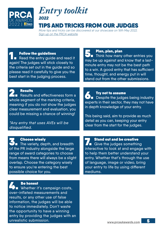



#### TIPS AND TRICKS FROM OUR JUDGES

*More tips and tricks can be discovered at our showcase on 16th May 2022. [Sign up on the PRCA website](https://www.prca.org.uk/event/5530/prca-uk-awards-showcase).* 

#### **3. Choose wisely<br>
The variety, depth, and breadth** of the PR industry alongside the large range of award categories to choose from means there will always be a slight overlap. Choose the category wisely to ensure you're entering the best possible choice for you. **1. Follow the guidelines<br>
Read the entry guide and read it<br>
All all and read it** again! The judges will stick closely to the criteria set out in the guide and so please read it carefully to give you the best start in the judging process. **4. Be honest**<br>
Whether it's campaign costs, **5. Plan, plan, plan<br>
Think how many other entries you** may be up against and know that a lastminute entry may not be the best path to a win. A good entry that has sufficient time, thought, and energy put in will stand out from the other submissions. **6. Try not to assume**<br>**Despite the judges being industry** experts in their sector, they may not have in depth knowledge of your entry. This being said, aim to provide as much detail as you can, keeping your entry clear from the start for the judges. **7. Stand out and be creative**<br> **Give the judges something** interactive to look at and engage with to help them better understand your entry. Whether that's through the use of language, image or video, bring your entry to life by using different mediums. **2. Results**<br>**Results and effectiveness form a** whole segment of the marking criteria, meaning if you do not show the judges clear measurement and evaluation, you could be missing a chance of winning! \*Any entry that uses AVEs will be disqualified.

over-inflated measurements and results, or any other use of false information, the judges will be able to notice immediately. Don't waste the opportunity to have a winning entry by providing the judges with an unrealistic submission.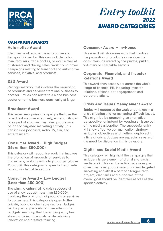

#### CAMPAIGN AWARDS

#### **Automotive Award**

Identifies work across the automotive and transport PR sector. This can include motor manufacturers, trade bodies, or work aimed at customers and driving sales. Work could cover campaigns relating to transport and automotive services, initiative, and products.

#### **B2B Award**

Recognises work that involves the promotion of products and services from one business to another. Entries can relate to a niche business sector or to the business community at large.

#### **Broadcast Award**

This award recognises campaigns that use the broadcast medium effectively, either on its own or as part of an of an integrated programme of PR and targeted marketing activity. This can include podcasts, radio, TV, film, and entertainment.

#### **Consumer Award – High Budget (More than £50,000)**

This category will recognise work that involves the promotion of products or services to consumers, working with a high budget (above £50,000). This category is open to the private, public, or charitable sectors.

#### **Consumer Award – Low Budget (Less than £50,000)**

The winning entrant will display successful use of a low budget (less than £50,000), involving the promotion of products or services to consumers. This category is open to the private, public or charitable sectors. Judges will be paying particularly close attention to budgets, ensuring that the winning entry has shown sufficient financials, while retaining innovation and creative thinking.

#### **Consumer Award – In-House**

This award will showcase work that involves the promotion of products or services to consumers, delivered by the private, public, voluntary or charitable sectors.

#### **Corporate, Financial, and Investor Relations Award**

This award showcases work across the whole range of financial PR, including investor relations, stakeholder engagement, and corporate affairs.

#### **Crisis And Issues Management Award**

Entries will recognise the work undertaken in a crisis situation and/or managing difficult issues. This might be by promoting an alternative perspective, or indeed by keeping an issue out of the media altogether. The successful entry will show effective communication strategy, including objectives and method deployed in a time of crisis. Judges are especially aware of the need for discretion in this category.

#### **Digital and Social Media Award**

This category will highlight the campaigns that include a large element of digital and social media work. This can be individually or as part of an integrated programme of PR and targeted marketing activity. If a part of a longer-term project, clear aims and outcomes of the overall goal should be identified as well as the specific activity.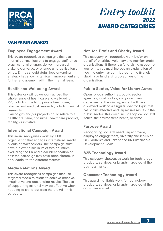

#### CAMPAIGN AWARDS

#### **Employee Engagement Award**

This award recognises campaigns that use internal communications to engage staff, drive organisational change, deliver increased stakeholder value, or change an organisation's ethos. Entries should detail how on-going strategy has shown significant improvement and further engagement within the internal team.

#### **Health and Wellbeing Award**

This category will cover work across the whole range of healthcare and well-being PR, including the NHS, private healthcare, pharma, and medical research (including animal research).

Campaigns and/or projects could relate to a healthcare issue, consumer healthcare product, facility, or initiative.

#### **International Campaign Award**

This award recognises work by a UK organisation that engages international media, clients or stakeholders. The campaign must have run over a minimum of two countries excluding the UK and clear identification of how the campaign may have been altered, if applicable, to the different markets.

#### **Media Relations Award**

This award recognises campaigns that use targeted media relations to achieve creative, imaginative and outstanding results. The use of supporting material may be effective when needing to stand out from the crowd in this category.

#### **Not-for-Profit and Charity Award**

This category will recognise work by/or on behalf of charities, voluntary and not-for-profit organisations. If there is a fundraising aspect to your entry, you must include an explanation of how the entry has contributed to the financial stability or fundraising objectives of the organisation.

#### **Public Sector, Value for Money Award**

Open to local authorities, public sector agencies, local bodies, and government departments. The winning entrant will have displayed work on a singular specific topic that has shown effective and impressive results in the public sector. This could include topical societal issues, the environment, health, or crime.

#### **Purpose Award**

Recognising societal need, impact made, employee engagement, diversity and inclusion, CEO activism and links to the UN Sustainable Development Goals.

#### **B2B Technology Award**

This category showcases work for technology products, services, or brands, targeted at the business market.

#### **Consumer Technology Award**

This award highlights work for technology products, services, or brands, targeted at the consumer market.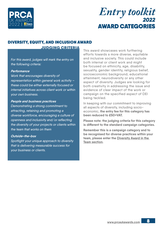

### DIVERSITY, EQUITY, AND INCLUSION AWARD

JUDGING CRITERIA

For this award, judges will mark the entry on the following criteria:

#### *Performance*

Work that encourages diversity of representation within general work activity – these could be either externally focused or internal initiatives across client work or within your own business.

#### *People and business practices*

Demonstrating a strong commitment to attracting, retaining and promoting a diverse workforce, encouraging a culture of openness and inclusivity and/or reflecting the diversity of your projects or clients within the team that works on them

#### *Outside-the-box*

Spotlight your unique approach to diversity that is delivering measurable success for your business or clients.

This award showcases work furthering efforts towards a more diverse, equitable and inclusive society. This could include both internal or client work and might be focused on ethnicity, age, disability, sexuality, gender identity, religious belief, socioeconomic background, educational attainment, neurodiversity or any other aspect of diversity. Judges are looking for both creativity in addressing the issue and evidence of clear impact of the work or campaign on the specified aspect of DEI being tackled.

In keeping with our commitment to improving all aspects of diversity, including socioeconomic, **the entry fee for this category has been reduced to £50+VAT.**

**Please note: the judging criteria for this category is different to the standard campaign categories.** 

**Remember this is a campaign category and to be recognised for diverse practices within your team, please enter the [Diversity Award in the](#page-11-0)  [Team section.](#page-11-0)**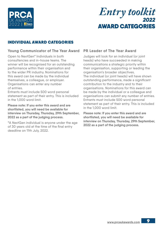

#### INDIVIDUAL AWARD CATEGORIES

#### **Young Communicator of The Year Award**

Open to NextGen**\*** Individuals in both consultancies and in-house teams. The winner will be recognised for an outstanding performance within their organisation and to the wider PR industry. Nominations for this award can be made by the individual themselves, a colleague, or employer. Organisations can enter any number of entries.

Entrants must include 500 word personal statement as part of their entry. This is included in the 1,000 word limit.

**Please note: If you enter this award and are shortlisted, you will need be available for interview on Thursday, Thursday, 29th September, 2022 as a part of the judging process.**

**\***A NextGen individual is anyone under the age of 30 years old at the time of the final entry deadline on 11th July, 2022.

#### **PR Leader of The Year Award**

Judges will look for an individual (or joint heads) who have succeeded in making communications a strategic priority within their organisation, supporting or leading the organisation's broader objectives. The individual (or joint heads) will have shown outstanding performance, made a significant contribution to the industry and to their organisations. Nominations for this award can be made by the individual or a colleague and organisations can submit any number of entries. Entrants must include 500 word personal statement as part of their entry. This is included in the 1,000 word limit.

**Please note: If you enter this award and are shortlisted, you will need be available for interview on Thursday, Thursday, 29th September, 2022 as a part of the judging process.**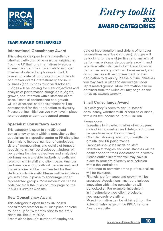

#### TEAM AWARD CATEGORIES

#### **International Consultancy Award**

This category is open to any consultancy, whether multi-discipline or niche; originating from the UK that runs internationally across at least two countries. Essentials to include: number of salaried employees in the UK operation, date of incorporation, and details of turnover overall internationally and in UK business (acquisitions must be disclosed). Judges will be looking for clear objectives and analysis of performance alongside budgets, growth, and retention within staff and client base. Financial performance and growth will be assessed, and consultancies will be commended for their dedication to diversity. Please outline initiatives you may have in place to encourage under-represented groups.

#### **Specialist Consultancy Award**

This category is open to any UK-based consultancy or team within a consultancy that specialises in a specific sector or PR discipline. Essentials to include: number of employees, date of incorporation, and details of turnover (acquisitions must be disclosed). Judges will be looking for clear objectives and analysis of performance alongside budgets, growth, and retention within staff and client base. Financial performance and growth will be assessed, and consultancies will be commended for their dedication to diversity. Please outline initiatives you may have in place to encourage underrepresented groups. More information can be obtained from the Rules of Entry page on the PRCA UK Awards website.

#### **New Consultancy Award**

This category is open to any UK-based consultancy, whether multi-discipline or niche, founded up to 24 months prior to the entry deadline, 11th July, 2022.

Essentials to include: number of employees,

date of incorporation, and details of turnover (acquisitions must be disclosed). Judges will be looking for clear objectives and analysis of performance alongside budgets, growth, and retention within staff and client base. Financial performance and growth will be assessed, and consultancies will be commended for their dedication to diversity. Please outline initiatives you may have in place to encourage underrepresented groups. More information can be obtained from the Rules of Entry page on the PRCA UK Awards website.

#### **Small Consultancy Award**

This category is open to any UK-based consultancy, whether multi-discipline or niche, with a PR fee income of up to £2million.

Please cover:

- Essentials to include: number of employees, date of incorporation, and details of turnover (acquisitions must be disclosed).
- Client list showing retention, consultancy growth, and PR performance.
- Emphasis should be made on staff retention strategies and consultancies will be commended for their dedication to diversity. Please outline initiatives you may have in place to promote diversity and inclusion within the workplace.
- Reference to commitment to professionalism will be favoured.
- Financial performance and growth will be assessed. Acquisitions must be disclosed
- Innovation within the consultancy will be looked at. For example, investment in infrastructure, new client products, new approach to staffing.
- More information can be obtained from the Rules of Entry page on the PRCA National Awards website.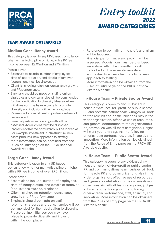

#### TEAM AWARD CATEGORIES

#### **Medium Consultancy Award**

This category is open to any UK-based consultancy, whether multi-discipline or niche, with a PR fee income between £2.01million and £7.5million.

Please cover:

- Essentials to include: number of employees, date of incorporation, and details of turnover (acquisitions must be disclosed).
- Client list showing retention, consultancy growth, and PR performance.
- Emphasis should be made on staff retention strategies and consultancies will be commended for their dedication to diversity. Please outline initiatives you may have in place to promote diversity and inclusion within the workplace.
- Reference to commitment to professionalism will be favoured.
- Financial performance and growth will be assessed. Acquisitions must be disclosed
- Innovation within the consultancy will be looked at. For example, investment in infrastructure, new client products, new approach to staffing.
- More information can be obtained from the Rules of Entry page on the PRCA National Awards website.

#### **Large Consultancy Award**

This category is open to any UK based consultancy, whether multi-discipline or niche, with a PR fee income of over £7.5million.

Please cover:

- Essentials to include: number of employees, date of incorporation, and details of turnover (acquisitions must be disclosed).
- Client list showing retention, consultancy growth, and PR performance.
- Emphasis should be made on staff retention strategies and consultancies will be commended for their dedication to diversity. Please outline initiatives you may have in place to promote diversity and inclusion within the workplace.
- Reference to commitment to professionalism will be favoured.
- Financial performance and growth will be assessed. Acquisitions must be disclosed
- Innovation within the consultancy will be looked at. For example, investment in infrastructure, new client products, new approach to staffing.
- More information can be obtained from the Rules of Entry page on the PRCA National Awards website.

#### **In-House Team – Private Sector Award**

This category is open to any UK-based inhouse private, not-for-profit, or public sector PR and communications team. Judges will look for the role PR and communications play in the wider organisation, effective use of resources, and general contribution to the organisation's objectives. As with all team categories, judges will mark your entry against the following criteria: team performance, staff, financial, and innovation. More information can be obtained from the Rules of Entry page on the PRCA UK Awards website.

#### **In-House Team – Public Sector Award**

This category is open to any UK-based inhouse private, not-for-profit or public sector PR and communications team. Judges will look for the role PR and communications play in the wider organisation, effective use of resources and general contribution to the organisation's objectives. As with all team categories, judges will mark your entry against the following criteria: team performance, staff, financial, and innovation. More information can be obtained from the Rules of Entry page on the PRCA UK Awards website.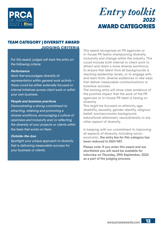<span id="page-11-0"></span>

#### TEAM CATEGORY | DIVERSITY AWARD JUDGING CRITERIA

For this award, judges will mark the entry on the following criteria:

#### *Performance*

Work that encourages diversity of representation within general work activity – these could be either externally focused or internal initiatives across client work or within your own business.

#### *People and business practices*

Demonstrating a strong commitment to attracting, retaining and promoting a diverse workforce, encouraging a culture of openness and inclusivity and/or reflecting the diversity of your projects or clients within the team that works on them

#### *Outside-the-box*

Spotlight your unique approach to diversity that is delivering measurable success for your business or clients.

This award recognises an PR agencies or in-house PR teams championing diversity, inclusivity and change within the industry. This could include both internal or client work to attract and retain a more diverse workforce, to ensure that talent from all backgrounds is reaching leadership levels, or to engage with, and learn from, diverse audiences in new ways that deliver measurable communications or business success.

The winning entry will show clear evidence of the positive impact that the work of the PR agencies or in-house PR team is having on diversity.

This might be focused on ethnicity, age, disability, sexuality, gender identity, religious belief, socioeconomic background, educational attainment, neurodiversity or any other aspect of diversity.

In keeping with our commitment to improving all aspects of diversity, including socioeconomic, **the entry fee for this category has been reduced to £50+VAT.**

**Please note: If you enter this award and are shortlisted you will need be available for interview on Thursday, 29th September, 2022 as a part of the judging process.**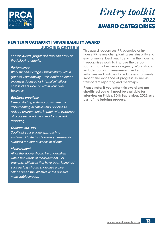

#### NEW TEAM CATEGORY | SUSTAINABILITY AWARD

#### JUDGING CRITERIA

For this award, judges will mark the entry on the following criteria:

#### *Performance*

Work that encourages sustainability within general work activity – this could be either externally focused or internal initiatives across client work or within your own business

#### *Business practices*

Demonstrating a strong commitment to implementing initiatives and policies to reduce environmental impact, with evidence of progress, roadmaps and transparent reporting

#### *Outside-the-box*

Spotlight your unique approach to sustainability that is delivering measurable success for your business or clients

#### *Measurement*

All of the above should be undertaken with a backdrop of measurement. For example, initiatives that have been launched successfully should showcase a clear link between the initiative and a positive measurable impact.

This award recognises PR agencies or inhouse PR teams championing sustainability and environmental best practice within the industry. It recognises work to improve the carbon footprint of a business or agency. Work should include footprint measurement and action, initiatives and policies to reduce environmental impact and evidence of progress as well as transparent reporting and roadmaps.

**Please note: If you enter this award and are shortlisted you will need be available for interview on Friday, 30th September, 2022 as a part of the judging process.**